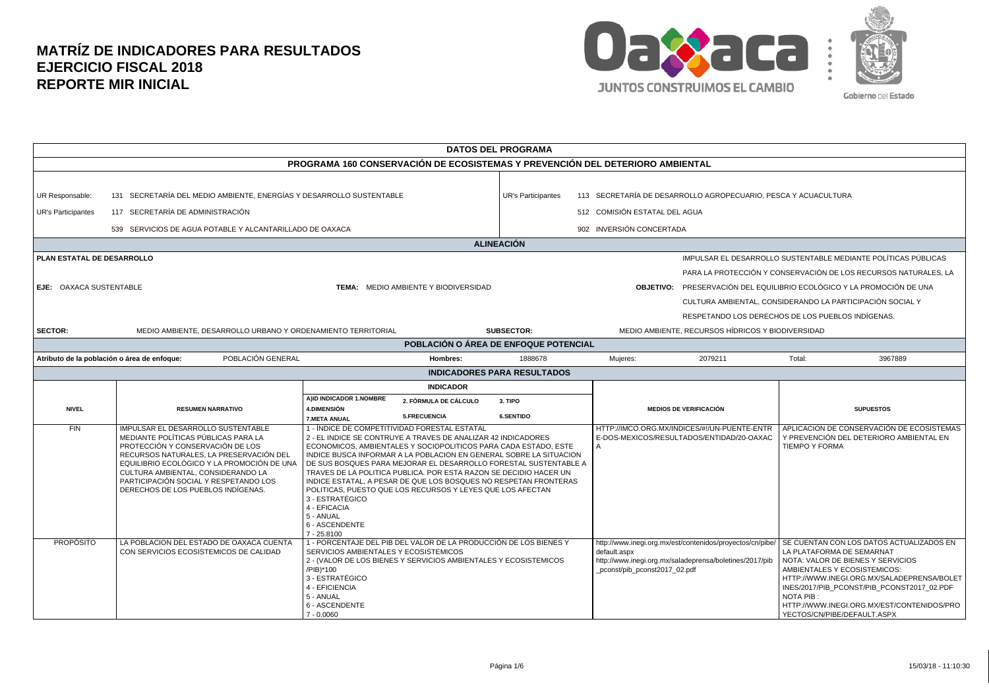

| <b>DATOS DEL PROGRAMA</b>                                                                                   |                                                                                                                                                                                                                                                                                                                             |                                                                                                                                        |                                                                                                                                                                                                                                                                                                                                                                                                                                                                                                                                    |                                    |                                                                |                                                                                                                      |                                                                                                                                                                                                                                                                                                                                     |
|-------------------------------------------------------------------------------------------------------------|-----------------------------------------------------------------------------------------------------------------------------------------------------------------------------------------------------------------------------------------------------------------------------------------------------------------------------|----------------------------------------------------------------------------------------------------------------------------------------|------------------------------------------------------------------------------------------------------------------------------------------------------------------------------------------------------------------------------------------------------------------------------------------------------------------------------------------------------------------------------------------------------------------------------------------------------------------------------------------------------------------------------------|------------------------------------|----------------------------------------------------------------|----------------------------------------------------------------------------------------------------------------------|-------------------------------------------------------------------------------------------------------------------------------------------------------------------------------------------------------------------------------------------------------------------------------------------------------------------------------------|
| PROGRAMA 160 CONSERVACIÓN DE ECOSISTEMAS Y PREVENCIÓN DEL DETERIORO AMBIENTAL                               |                                                                                                                                                                                                                                                                                                                             |                                                                                                                                        |                                                                                                                                                                                                                                                                                                                                                                                                                                                                                                                                    |                                    |                                                                |                                                                                                                      |                                                                                                                                                                                                                                                                                                                                     |
| UR Responsable:<br><b>UR's Participantes</b>                                                                | 131 SECRETARÍA DEL MEDIO AMBIENTE, ENERGÍAS Y DESARROLLO SUSTENTABLE                                                                                                                                                                                                                                                        |                                                                                                                                        |                                                                                                                                                                                                                                                                                                                                                                                                                                                                                                                                    | <b>UR's Participantes</b>          | 113 SECRETARÍA DE DESARROLLO AGROPECUARIO, PESCA Y ACUACULTURA |                                                                                                                      |                                                                                                                                                                                                                                                                                                                                     |
|                                                                                                             | 117 SECRETARÍA DE ADMINISTRACIÓN                                                                                                                                                                                                                                                                                            |                                                                                                                                        |                                                                                                                                                                                                                                                                                                                                                                                                                                                                                                                                    |                                    | 512 COMISIÓN ESTATAL DEL AGUA                                  |                                                                                                                      |                                                                                                                                                                                                                                                                                                                                     |
|                                                                                                             | 539 SERVICIOS DE AGUA POTABLE Y ALCANTARILLADO DE OAXACA                                                                                                                                                                                                                                                                    |                                                                                                                                        |                                                                                                                                                                                                                                                                                                                                                                                                                                                                                                                                    |                                    | 902 INVERSIÓN CONCERTADA                                       |                                                                                                                      |                                                                                                                                                                                                                                                                                                                                     |
|                                                                                                             |                                                                                                                                                                                                                                                                                                                             |                                                                                                                                        |                                                                                                                                                                                                                                                                                                                                                                                                                                                                                                                                    | <b>ALINEACIÓN</b>                  |                                                                |                                                                                                                      |                                                                                                                                                                                                                                                                                                                                     |
| PLAN ESTATAL DE DESARROLLO<br><b>EJE: OAXACA SUSTENTABLE</b><br><b>TEMA: MEDIO AMBIENTE Y BIODIVERSIDAD</b> |                                                                                                                                                                                                                                                                                                                             |                                                                                                                                        |                                                                                                                                                                                                                                                                                                                                                                                                                                                                                                                                    |                                    |                                                                |                                                                                                                      | IMPULSAR EL DESARROLLO SUSTENTABLE MEDIANTE POLÍTICAS PÚBLICAS<br>PARA LA PROTECCIÓN Y CONSERVACIÓN DE LOS RECURSOS NATURALES, LA<br><b>OBJETIVO:</b> PRESERVACIÓN DEL EQUILIBRIO ECOLÓGICO Y LA PROMOCIÓN DE UNA<br>CULTURA AMBIENTAL, CONSIDERANDO LA PARTICIPACIÓN SOCIAL Y<br>RESPETANDO LOS DERECHOS DE LOS PUEBLOS INDÍGENAS. |
| <b>SECTOR:</b>                                                                                              | MEDIO AMBIENTE. DESARROLLO URBANO Y ORDENAMIENTO TERRITORIAL                                                                                                                                                                                                                                                                |                                                                                                                                        |                                                                                                                                                                                                                                                                                                                                                                                                                                                                                                                                    | <b>SUBSECTOR:</b>                  |                                                                | MEDIO AMBIENTE. RECURSOS HÍDRICOS Y BIODIVERSIDAD                                                                    |                                                                                                                                                                                                                                                                                                                                     |
|                                                                                                             |                                                                                                                                                                                                                                                                                                                             |                                                                                                                                        | POBLACIÓN O ÁREA DE ENFOQUE POTENCIAL                                                                                                                                                                                                                                                                                                                                                                                                                                                                                              |                                    |                                                                |                                                                                                                      |                                                                                                                                                                                                                                                                                                                                     |
| Atributo de la población o área de enfoque:                                                                 | POBLACIÓN GENERAL                                                                                                                                                                                                                                                                                                           |                                                                                                                                        | Hombres:                                                                                                                                                                                                                                                                                                                                                                                                                                                                                                                           | 1888678                            | Mujeres:                                                       | 2079211                                                                                                              | Total:<br>3967889                                                                                                                                                                                                                                                                                                                   |
|                                                                                                             |                                                                                                                                                                                                                                                                                                                             |                                                                                                                                        |                                                                                                                                                                                                                                                                                                                                                                                                                                                                                                                                    | <b>INDICADORES PARA RESULTADOS</b> |                                                                |                                                                                                                      |                                                                                                                                                                                                                                                                                                                                     |
|                                                                                                             |                                                                                                                                                                                                                                                                                                                             |                                                                                                                                        | <b>INDICADOR</b>                                                                                                                                                                                                                                                                                                                                                                                                                                                                                                                   |                                    |                                                                |                                                                                                                      |                                                                                                                                                                                                                                                                                                                                     |
| <b>NIVEL</b>                                                                                                | <b>RESUMEN NARRATIVO</b>                                                                                                                                                                                                                                                                                                    | A)ID INDICADOR 1.NOMBRE<br>4.DIMENSIÓN<br><b>7.META ANUAL</b>                                                                          | 2. FÓRMULA DE CÁLCULO<br>5.FRECUENCIA                                                                                                                                                                                                                                                                                                                                                                                                                                                                                              | 3. TIPO<br><b>6.SENTIDO</b>        |                                                                | <b>MEDIOS DE VERIFICACIÓN</b>                                                                                        | <b>SUPUESTOS</b>                                                                                                                                                                                                                                                                                                                    |
| FIN                                                                                                         | IMPULSAR EL DESARROLLO SUSTENTABLE<br>MEDIANTE POLÍTICAS PÚBLICAS PARA LA<br>PROTECCIÓN Y CONSERVACIÓN DE LOS<br>RECURSOS NATURALES, LA PRESERVACIÓN DEL<br>EQUILIBRIO ECOLÓGICO Y LA PROMOCIÓN DE UNA<br>CULTURA AMBIENTAL, CONSIDERANDO LA<br>PARTICIPACIÓN SOCIAL Y RESPETANDO LOS<br>DERECHOS DE LOS PUEBLOS INDÍGENAS. | 3 - ESTRATÉGICO<br>4 - EFICACIA<br>5 - ANUAL<br>6 - ASCENDENTE<br>7 - 25.8100                                                          | 1 - ÍNDICE DE COMPETITIVIDAD FORESTAL ESTATAL<br>2 - EL INDICE SE CONTRUYE A TRAVES DE ANALIZAR 42 INDICADORES<br>ECONOMICOS, AMBIENTALES Y SOCIOPOLITICOS PARA CADA ESTADO, ESTE<br>INDICE BUSCA INFORMAR A LA POBLACION EN GENERAL SOBRE LA SITUACION<br>DE SUS BOSQUES PARA MEJORAR EL DESARROLLO FORESTAL SUSTENTABLE A<br>TRAVES DE LA POLITICA PUBLICA. POR ESTA RAZON SE DECIDIO HACER UN<br>INDICE ESTATAL. A PESAR DE QUE LOS BOSQUES NO RESPETAN FRONTERAS<br>POLITICAS, PUESTO QUE LOS RECURSOS Y LEYES QUE LOS AFECTAN |                                    |                                                                | HTTP://IMCO.ORG.MX/INDICES/#!/UN-PUENTE-ENTR<br>E-DOS-MEXICOS/RESULTADOS/ENTIDAD/20-OAXAC                            | APLICACION DE CONSERVACIÓN DE ECOSISTEMAS<br>Y PREVENCIÓN DEL DETERIORO AMBIENTAL EN<br><b>TIEMPO Y FORMA</b>                                                                                                                                                                                                                       |
| <b>PROPÓSITO</b>                                                                                            | LA POBLACION DEL ESTADO DE OAXACA CUENTA<br>CON SERVICIOS ECOSISTEMICOS DE CALIDAD                                                                                                                                                                                                                                          | SERVICIOS AMBIENTALES Y ECOSISTEMICOS<br>/PIB)*100<br>3 - ESTRATÉGICO<br>4 - EFICIENCIA<br>5 - ANUAL<br>6 - ASCENDENTE<br>$7 - 0.0060$ | 1 - PORCENTAJE DEL PIB DEL VALOR DE LA PRODUCCIÓN DE LOS BIENES Y<br>2 - (VALOR DE LOS BIENES Y SERVICIOS AMBIENTALES Y ECOSISTEMICOS                                                                                                                                                                                                                                                                                                                                                                                              |                                    | default.aspx<br>pconst/pib_pconst2017_02.pdf                   | http://www.inegi.org.mx/est/contenidos/proyectos/cn/pibe/<br>http://www.inegi.org.mx/saladeprensa/boletines/2017/pib | SE CUENTAN CON LOS DATOS ACTUALIZADOS EN<br>LA PLATAFORMA DE SEMARNAT<br>NOTA: VALOR DE BIENES Y SERVICIOS<br>AMBIENTALES Y ECOSISTEMICOS:<br>HTTP://WWW.INEGI.ORG.MX/SALADEPRENSA/BOLET<br>INES/2017/PIB PCONST/PIB PCONST2017 02.PDF<br>NOTA PIB:<br>HTTP://WWW.INEGI.ORG.MX/EST/CONTENIDOS/PRO<br>YECTOS/CN/PIBE/DEFAULT.ASPX    |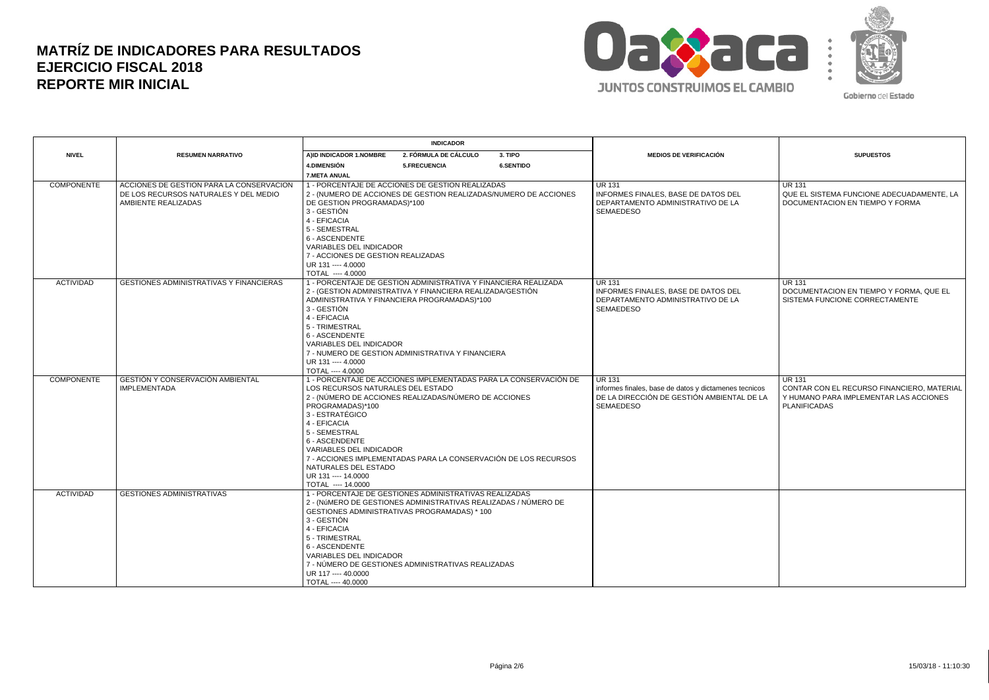

|                   |                                                                                                          | <b>INDICADOR</b>                             |                                                                                                                               |                                                                  |                                                                                                     |                                                                                               |
|-------------------|----------------------------------------------------------------------------------------------------------|----------------------------------------------|-------------------------------------------------------------------------------------------------------------------------------|------------------------------------------------------------------|-----------------------------------------------------------------------------------------------------|-----------------------------------------------------------------------------------------------|
| <b>NIVEL</b>      | <b>RESUMEN NARRATIVO</b>                                                                                 | AIID INDICADOR 1.NOMBRE                      | 2. FÓRMULA DE CÁLCULO                                                                                                         | 3. TIPO                                                          | <b>MEDIOS DE VERIFICACIÓN</b>                                                                       | <b>SUPUESTOS</b>                                                                              |
|                   |                                                                                                          | <b>4.DIMENSIÓN</b>                           | 5.FRECUENCIA                                                                                                                  | <b>6.SENTIDO</b>                                                 |                                                                                                     |                                                                                               |
|                   |                                                                                                          | 7.META ANUAL                                 |                                                                                                                               |                                                                  |                                                                                                     |                                                                                               |
| <b>COMPONENTE</b> | ACCIONES DE GESTION PARA LA CONSERVACION<br>DE LOS RECURSOS NATURALES Y DEL MEDIO<br>AMBIENTE REALIZADAS | DE GESTION PROGRAMADAS)*100                  | 1 - PORCENTAJE DE ACCIONES DE GESTION REALIZADAS                                                                              | 2 - (NUMERO DE ACCIONES DE GESTION REALIZADAS/NUMERO DE ACCIONES | <b>UR 131</b><br>INFORMES FINALES, BASE DE DATOS DEL<br>DEPARTAMENTO ADMINISTRATIVO DE LA           | <b>UR 131</b><br>QUE EL SISTEMA FUNCIONE ADECUADAMENTE, LA<br>DOCUMENTACION EN TIEMPO Y FORMA |
|                   |                                                                                                          | 3 - GESTIÓN<br>4 - EFICACIA<br>5 - SEMESTRAL |                                                                                                                               |                                                                  | <b>SEMAEDESO</b>                                                                                    |                                                                                               |
|                   |                                                                                                          | 6 - ASCENDENTE<br>VARIABLES DEL INDICADOR    |                                                                                                                               |                                                                  |                                                                                                     |                                                                                               |
|                   |                                                                                                          | 7 - ACCIONES DE GESTION REALIZADAS           |                                                                                                                               |                                                                  |                                                                                                     |                                                                                               |
|                   |                                                                                                          | UR 131 ---- 4,0000                           |                                                                                                                               |                                                                  |                                                                                                     |                                                                                               |
|                   |                                                                                                          | TOTAL ---- 4.0000                            |                                                                                                                               |                                                                  |                                                                                                     |                                                                                               |
| <b>ACTIVIDAD</b>  | GESTIONES ADMINISTRATIVAS Y FINANCIERAS                                                                  |                                              | 1 - PORCENTAJE DE GESTION ADMINISTRATIVA Y FINANCIERA REALIZADA<br>2 - (GESTION ADMINISTRATIVA Y FINANCIERA REALIZADA/GESTIÓN |                                                                  | <b>UR 131</b><br>INFORMES FINALES, BASE DE DATOS DEL                                                | <b>UR 131</b><br>I DOCUMENTACION EN TIEMPO Y FORMA. QUE EL                                    |
|                   |                                                                                                          |                                              | ADMINISTRATIVA Y FINANCIERA PROGRAMADAS)*100                                                                                  |                                                                  | DEPARTAMENTO ADMINISTRATIVO DE LA                                                                   | SISTEMA FUNCIONE CORRECTAMENTE                                                                |
|                   |                                                                                                          | 3 - GESTIÓN                                  |                                                                                                                               |                                                                  | <b>SEMAEDESO</b>                                                                                    |                                                                                               |
|                   |                                                                                                          | 4 - EFICACIA                                 |                                                                                                                               |                                                                  |                                                                                                     |                                                                                               |
|                   |                                                                                                          | 5 - TRIMESTRAL                               |                                                                                                                               |                                                                  |                                                                                                     |                                                                                               |
|                   |                                                                                                          | 6 - ASCENDENTE                               |                                                                                                                               |                                                                  |                                                                                                     |                                                                                               |
|                   |                                                                                                          | <b>VARIABLES DEL INDICADOR</b>               |                                                                                                                               |                                                                  |                                                                                                     |                                                                                               |
|                   |                                                                                                          |                                              | 7 - NUMERO DE GESTION ADMINISTRATIVA Y FINANCIERA                                                                             |                                                                  |                                                                                                     |                                                                                               |
|                   |                                                                                                          | UR 131 ---- 4.0000                           |                                                                                                                               |                                                                  |                                                                                                     |                                                                                               |
|                   |                                                                                                          | TOTAL ---- 4.0000                            |                                                                                                                               |                                                                  |                                                                                                     |                                                                                               |
| <b>COMPONENTE</b> | GESTIÓN Y CONSERVACIÓN AMBIENTAL                                                                         |                                              |                                                                                                                               | 1 - PORCENTAJE DE ACCIONES IMPLEMENTADAS PARA LA CONSERVACIÓN DE | <b>UR 131</b>                                                                                       | <b>UR 131</b>                                                                                 |
|                   | <b>IMPLEMENTADA</b>                                                                                      | LOS RECURSOS NATURALES DEL ESTADO            | 2 - (NÚMERO DE ACCIONES REALIZADAS/NÚMERO DE ACCIONES                                                                         |                                                                  | informes finales, base de datos y dictamenes tecnicos<br>DE LA DIRECCIÓN DE GESTIÓN AMBIENTAL DE LA | CONTAR CON EL RECURSO FINANCIERO, MATERIAL<br>Y HUMANO PARA IMPLEMENTAR LAS ACCIONES          |
|                   |                                                                                                          | PROGRAMADAS)*100                             |                                                                                                                               |                                                                  | <b>SEMAEDESO</b>                                                                                    | <b>PLANIFICADAS</b>                                                                           |
|                   |                                                                                                          | 3 - ESTRATÉGICO                              |                                                                                                                               |                                                                  |                                                                                                     |                                                                                               |
|                   |                                                                                                          | 4 - EFICACIA                                 |                                                                                                                               |                                                                  |                                                                                                     |                                                                                               |
|                   |                                                                                                          | 5 - SEMESTRAL                                |                                                                                                                               |                                                                  |                                                                                                     |                                                                                               |
|                   |                                                                                                          | 6 - ASCENDENTE                               |                                                                                                                               |                                                                  |                                                                                                     |                                                                                               |
|                   |                                                                                                          | VARIABLES DEL INDICADOR                      |                                                                                                                               |                                                                  |                                                                                                     |                                                                                               |
|                   |                                                                                                          |                                              |                                                                                                                               | 7 - ACCIONES IMPLEMENTADAS PARA LA CONSERVACIÓN DE LOS RECURSOS  |                                                                                                     |                                                                                               |
|                   |                                                                                                          | NATURALES DEL ESTADO                         |                                                                                                                               |                                                                  |                                                                                                     |                                                                                               |
|                   |                                                                                                          | UR 131 ---- 14,0000                          |                                                                                                                               |                                                                  |                                                                                                     |                                                                                               |
| <b>ACTIVIDAD</b>  | <b>GESTIONES ADMINISTRATIVAS</b>                                                                         | TOTAL ---- 14.0000                           | 1 - PORCENTAJE DE GESTIONES ADMINISTRATIVAS REALIZADAS                                                                        |                                                                  |                                                                                                     |                                                                                               |
|                   |                                                                                                          |                                              | 2 - (NÚMERO DE GESTIONES ADMINISTRATIVAS REALIZADAS / NÚMERO DE                                                               |                                                                  |                                                                                                     |                                                                                               |
|                   |                                                                                                          |                                              | GESTIONES ADMINISTRATIVAS PROGRAMADAS) * 100                                                                                  |                                                                  |                                                                                                     |                                                                                               |
|                   |                                                                                                          | 3 - GESTIÓN                                  |                                                                                                                               |                                                                  |                                                                                                     |                                                                                               |
|                   |                                                                                                          | 4 - EFICACIA                                 |                                                                                                                               |                                                                  |                                                                                                     |                                                                                               |
|                   |                                                                                                          | 5 - TRIMESTRAL                               |                                                                                                                               |                                                                  |                                                                                                     |                                                                                               |
|                   |                                                                                                          | 6 - ASCENDENTE                               |                                                                                                                               |                                                                  |                                                                                                     |                                                                                               |
|                   |                                                                                                          | VARIABLES DEL INDICADOR                      |                                                                                                                               |                                                                  |                                                                                                     |                                                                                               |
|                   |                                                                                                          |                                              | 7 - NÚMERO DE GESTIONES ADMINISTRATIVAS REALIZADAS                                                                            |                                                                  |                                                                                                     |                                                                                               |
|                   |                                                                                                          | UR 117 ---- 40,0000                          |                                                                                                                               |                                                                  |                                                                                                     |                                                                                               |
|                   |                                                                                                          | TOTAL ---- 40.0000                           |                                                                                                                               |                                                                  |                                                                                                     |                                                                                               |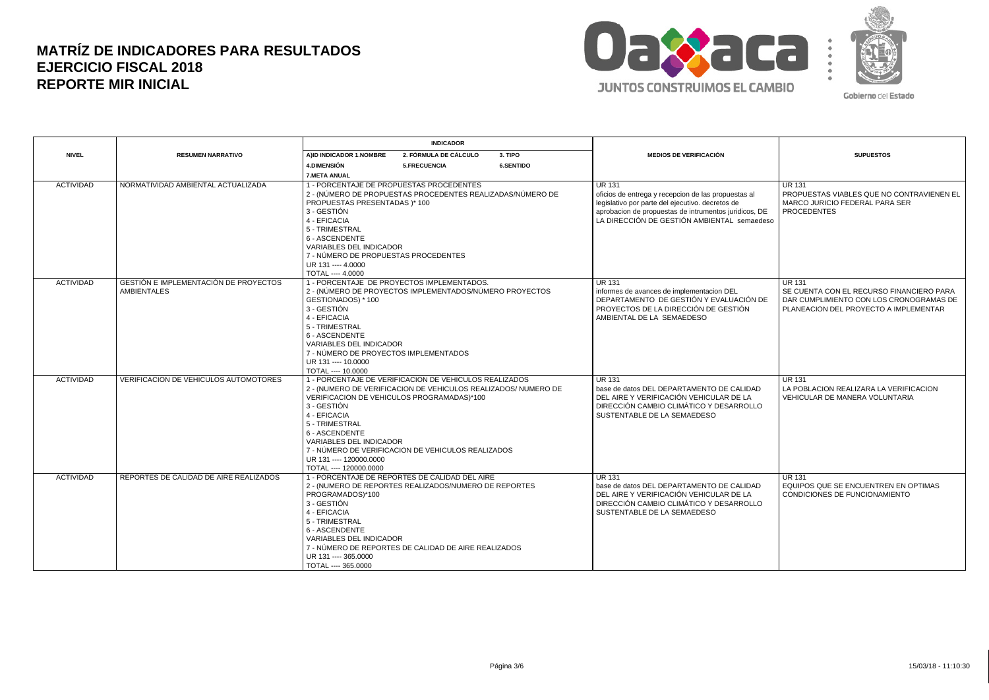

|                  |                                                                    | <b>INDICADOR</b>                                                                                                                                              |                                                                                                                                                                                                                              |                  |                                                                                                                                                                                                                                  |                                                                                                                                               |
|------------------|--------------------------------------------------------------------|---------------------------------------------------------------------------------------------------------------------------------------------------------------|------------------------------------------------------------------------------------------------------------------------------------------------------------------------------------------------------------------------------|------------------|----------------------------------------------------------------------------------------------------------------------------------------------------------------------------------------------------------------------------------|-----------------------------------------------------------------------------------------------------------------------------------------------|
| <b>NIVEL</b>     | <b>RESUMEN NARRATIVO</b>                                           | AIID INDICADOR 1.NOMBRE                                                                                                                                       | 2. FÓRMULA DE CÁLCULO                                                                                                                                                                                                        | 3. TIPO          | <b>MEDIOS DE VERIFICACIÓN</b>                                                                                                                                                                                                    | <b>SUPUESTOS</b>                                                                                                                              |
|                  |                                                                    | <b>4.DIMENSIÓN</b>                                                                                                                                            | 5.FRECUENCIA                                                                                                                                                                                                                 | <b>6.SENTIDO</b> |                                                                                                                                                                                                                                  |                                                                                                                                               |
|                  |                                                                    | <b>7.META ANUAL</b>                                                                                                                                           |                                                                                                                                                                                                                              |                  |                                                                                                                                                                                                                                  |                                                                                                                                               |
| <b>ACTIVIDAD</b> | NORMATIVIDAD AMBIENTAL ACTUALIZADA                                 | PROPUESTAS PRESENTADAS )* 100<br>3 - GESTIÓN<br>4 - EFICACIA<br>5 - TRIMESTRAL<br>6 - ASCENDENTE<br>VARIABLES DEL INDICADOR                                   | 1 - PORCENTAJE DE PROPUESTAS PROCEDENTES<br>2 - (NÚMERO DE PROPUESTAS PROCEDENTES REALIZADAS/NÚMERO DE                                                                                                                       |                  | <b>UR 131</b><br>oficios de entrega y recepcion de las propuestas al<br>legislativo por parte del ejecutivo. decretos de<br>aprobacion de propuestas de intrumentos juridicos, DE<br>LA DIRECCIÓN DE GESTIÓN AMBIENTAL semaedeso | l UR 131<br>PROPUESTAS VIABLES QUE NO CONTRAVIENEN EL<br>MARCO JURICIO FEDERAL PARA SER<br><b>PROCEDENTES</b>                                 |
|                  |                                                                    | 7 - NÚMERO DE PROPUESTAS PROCEDENTES                                                                                                                          |                                                                                                                                                                                                                              |                  |                                                                                                                                                                                                                                  |                                                                                                                                               |
|                  |                                                                    | UR 131 ---- 4.0000                                                                                                                                            |                                                                                                                                                                                                                              |                  |                                                                                                                                                                                                                                  |                                                                                                                                               |
|                  |                                                                    | TOTAL ---- 4.0000                                                                                                                                             |                                                                                                                                                                                                                              |                  |                                                                                                                                                                                                                                  |                                                                                                                                               |
| <b>ACTIVIDAD</b> | <b>GESTIÓN E IMPLEMENTACIÓN DE PROYECTOS</b><br><b>AMBIENTALES</b> | GESTIONADOS) * 100<br>3 - GESTIÓN<br>4 - EFICACIA<br>5 - TRIMESTRAL<br>6 - ASCENDENTE                                                                         | 1 - PORCENTAJE DE PROYECTOS IMPLEMENTADOS.<br>2 - (NÚMERO DE PROYECTOS IMPLEMENTADOS/NÚMERO PROYECTOS                                                                                                                        |                  | <b>UR 131</b><br>informes de avances de implementacion DEL<br>DEPARTAMENTO DE GESTIÓN Y EVALUACIÓN DE<br>PROYECTOS DE LA DIRECCIÓN DE GESTIÓN<br>AMBIENTAL DE LA SEMAEDESO                                                       | <b>UR 131</b><br>SE CUENTA CON EL RECURSO FINANCIERO PARA<br>DAR CUMPLIMIENTO CON LOS CRONOGRAMAS DE<br>PLANEACION DEL PROYECTO A IMPLEMENTAR |
|                  |                                                                    | <b>VARIABLES DEL INDICADOR</b><br>UR 131 ---- 10,0000<br>TOTAL ---- 10.0000                                                                                   | 7 - NÚMERO DE PROYECTOS IMPLEMENTADOS                                                                                                                                                                                        |                  |                                                                                                                                                                                                                                  |                                                                                                                                               |
| <b>ACTIVIDAD</b> | <b>VERIFICACION DE VEHICULOS AUTOMOTORES</b>                       | 3 - GESTIÓN<br>4 - EFICACIA<br>5 - TRIMESTRAL<br>6 - ASCENDENTE<br>VARIABLES DEL INDICADOR<br>UR 131 ---- 120000.0000<br>TOTAL ---- 120000.0000               | 1 - PORCENTAJE DE VERIFICACION DE VEHICULOS REALIZADOS<br>2 - (NUMERO DE VERIFICACION DE VEHICULOS REALIZADOS/ NUMERO DE<br>VERIFICACION DE VEHICULOS PROGRAMADAS)*100<br>7 - NÚMERO DE VERIFICACION DE VEHICULOS REALIZADOS |                  | <b>UR 131</b><br>base de datos DEL DEPARTAMENTO DE CALIDAD<br>DEL AIRE Y VERIFICACIÓN VEHICULAR DE LA<br>DIRECCIÓN CAMBIO CLIMÁTICO Y DESARROLLO<br>SUSTENTABLE DE LA SEMAEDESO                                                  | <b>UR 131</b><br>LA POBLACION REALIZARA LA VERIFICACION<br>VEHICULAR DE MANERA VOLUNTARIA                                                     |
| <b>ACTIVIDAD</b> | REPORTES DE CALIDAD DE AIRE REALIZADOS                             | PROGRAMADOS)*100<br>3 - GESTIÓN<br>4 - EFICACIA<br>5 - TRIMESTRAL<br>6 - ASCENDENTE<br>VARIABLES DEL INDICADOR<br>UR 131 ---- 365,0000<br>TOTAL ---- 365.0000 | 1 - PORCENTAJE DE REPORTES DE CALIDAD DEL AIRE<br>2 - (NUMERO DE REPORTES REALIZADOS/NUMERO DE REPORTES<br>7 - NÚMERO DE REPORTES DE CALIDAD DE AIRE REALIZADOS                                                              |                  | <b>UR 131</b><br>base de datos DEL DEPARTAMENTO DE CALIDAD<br>DEL AIRE Y VERIFICACIÓN VEHICULAR DE LA<br>DIRECCIÓN CAMBIO CLIMÁTICO Y DESARROLLO<br>SUSTENTABLE DE LA SEMAEDESO                                                  | <b>UR 131</b><br>EQUIPOS QUE SE ENCUENTREN EN OPTIMAS<br>CONDICIONES DE FUNCIONAMIENTO                                                        |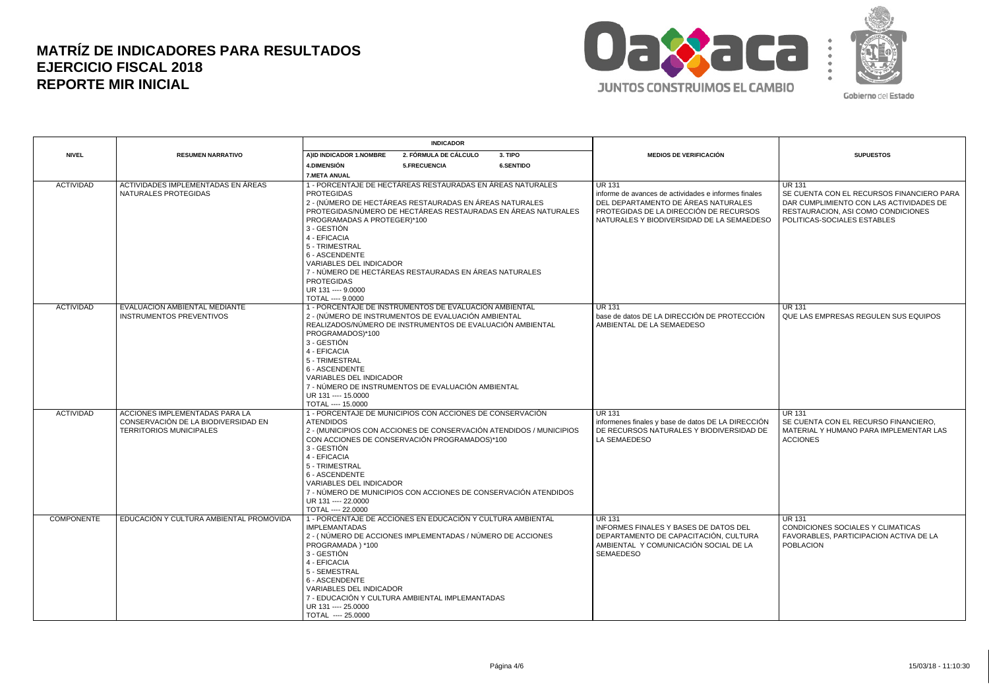

|                                       |                                                                                                                                                    | <b>INDICADOR</b>                                                                                                                                                                          |                                                                                                                                                                                                                                                                                                                     |           |                                                                                                                                                        |                                                                                                                                             |
|---------------------------------------|----------------------------------------------------------------------------------------------------------------------------------------------------|-------------------------------------------------------------------------------------------------------------------------------------------------------------------------------------------|---------------------------------------------------------------------------------------------------------------------------------------------------------------------------------------------------------------------------------------------------------------------------------------------------------------------|-----------|--------------------------------------------------------------------------------------------------------------------------------------------------------|---------------------------------------------------------------------------------------------------------------------------------------------|
| <b>NIVEL</b>                          | <b>RESUMEN NARRATIVO</b>                                                                                                                           | AIID INDICADOR 1.NOMBRE                                                                                                                                                                   | 2. FÓRMULA DE CÁLCULO                                                                                                                                                                                                                                                                                               | 3. TIPO   | <b>MEDIOS DE VERIFICACIÓN</b>                                                                                                                          | <b>SUPUESTOS</b>                                                                                                                            |
|                                       |                                                                                                                                                    | <b>4.DIMENSIÓN</b>                                                                                                                                                                        | 5.FRECUENCIA                                                                                                                                                                                                                                                                                                        | 6.SENTIDO |                                                                                                                                                        |                                                                                                                                             |
|                                       |                                                                                                                                                    | <b>7.META ANUAL</b>                                                                                                                                                                       |                                                                                                                                                                                                                                                                                                                     |           |                                                                                                                                                        |                                                                                                                                             |
| <b>ACTIVIDAD</b>                      | ACTIVIDADES IMPLEMENTADAS EN ÁREAS<br>NATURALES PROTEGIDAS                                                                                         | <b>PROTEGIDAS</b>                                                                                                                                                                         | 1 - PORCENTAJE DE HECTÁREAS RESTAURADAS EN ÁREAS NATURALES<br>2 - (NÚMERO DE HECTÁREAS RESTAURADAS EN ÁREAS NATURALES<br>PROTEGIDAS/NÚMERO DE HECTÁREAS RESTAURADAS EN ÁREAS NATURALES                                                                                                                              |           | <b>UR 131</b><br>informe de avances de actividades e informes finales<br>DEL DEPARTAMENTO DE ÁREAS NATURALES<br>PROTEGIDAS DE LA DIRECCIÓN DE RECURSOS | <b>UR 131</b><br>SE CUENTA CON EL RECURSOS FINANCIERO PARA<br>DAR CUMPLIMIENTO CON LAS ACTIVIDADES DE<br>RESTAURACION, ASI COMO CONDICIONES |
|                                       |                                                                                                                                                    | PROGRAMADAS A PROTEGER)*100<br>3 - GESTIÓN<br>4 - EFICACIA<br>5 - TRIMESTRAL<br>6 - ASCENDENTE<br>VARIABLES DEL INDICADOR<br><b>PROTEGIDAS</b><br>UR 131 ---- 9.0000<br>TOTAL ---- 9.0000 | 7 - NÚMERO DE HECTÁREAS RESTAURADAS EN ÁREAS NATURALES                                                                                                                                                                                                                                                              |           | NATURALES Y BIODIVERSIDAD DE LA SEMAEDESO                                                                                                              | POLITICAS-SOCIALES ESTABLES                                                                                                                 |
| <b>ACTIVIDAD</b>                      | EVALUACION AMBIENTAL MEDIANTE<br><b>INSTRUMENTOS PREVENTIVOS</b>                                                                                   |                                                                                                                                                                                           | 1 - PORCENTAJE DE INSTRUMENTOS DE EVALUACIÓN AMBIENTAL<br>2 - (NÚMERO DE INSTRUMENTOS DE EVALUACIÓN AMBIENTAL<br>REALIZADOS/NÚMERO DE INSTRUMENTOS DE EVALUACIÓN AMBIENTAL                                                                                                                                          |           | <b>UR 131</b><br>base de datos DE LA DIRECCIÓN DE PROTECCIÓN<br>AMBIENTAL DE LA SEMAEDESO                                                              | <b>UR 131</b><br>QUE LAS EMPRESAS REGULEN SUS EQUIPOS                                                                                       |
|                                       |                                                                                                                                                    | PROGRAMADOS)*100<br>3 - GESTIÓN<br>4 - EFICACIA<br>5 - TRIMESTRAL<br>6 - ASCENDENTE<br>VARIABLES DEL INDICADOR<br>UR 131 ---- 15.0000<br>TOTAL ---- 15.0000                               | 7 - NÚMERO DE INSTRUMENTOS DE EVALUACIÓN AMBIENTAL                                                                                                                                                                                                                                                                  |           |                                                                                                                                                        |                                                                                                                                             |
| <b>ACTIVIDAD</b><br><b>COMPONENTE</b> | ACCIONES IMPLEMENTADAS PARA LA<br>CONSERVACIÓN DE LA BIODIVERSIDAD EN<br><b>TERRITORIOS MUNICIPALES</b><br>EDUCACIÓN Y CULTURA AMBIENTAL PROMOVIDA | <b>ATENDIDOS</b><br>3 - GESTIÓN<br>4 - EFICACIA<br>5 - TRIMESTRAL<br>6 - ASCENDENTE<br><b>VARIABLES DEL INDICADOR</b><br>UR 131 ---- 22.0000<br>TOTAL ---- 22.0000                        | 1 - PORCENTAJE DE MUNICIPIOS CON ACCIONES DE CONSERVACIÓN<br>2 - (MUNICIPIOS CON ACCIONES DE CONSERVACIÓN ATENDIDOS / MUNICIPIOS<br>CON ACCIONES DE CONSERVACIÓN PROGRAMADOS)*100<br>7 - NÚMERO DE MUNICIPIOS CON ACCIONES DE CONSERVACIÓN ATENDIDOS<br>1 - PORCENTAJE DE ACCIONES EN EDUCACIÓN Y CULTURA AMBIENTAL |           | <b>UR 131</b><br>informenes finales y base de datos DE LA DIRECCIÓN<br>DE RECURSOS NATURALES Y BIODIVERSIDAD DE<br>LA SEMAEDESO<br><b>UR 131</b>       | <b>UR 131</b><br>SE CUENTA CON EL RECURSO FINANCIERO.<br>MATERIAL Y HUMANO PARA IMPLEMENTAR LAS<br><b>ACCIONES</b><br><b>UR 131</b>         |
|                                       |                                                                                                                                                    | <b>IMPLEMANTADAS</b><br>PROGRAMADA) *100<br>3 - GESTIÓN<br>4 - EFICACIA<br>5 - SEMESTRAL<br>6 - ASCENDENTE<br>VARIABLES DEL INDICADOR<br>UR 131 ---- 25,0000<br>TOTAL ---- 25.0000        | 2 - (NÚMERO DE ACCIONES IMPLEMENTADAS / NÚMERO DE ACCIONES<br>7 - EDUCACIÓN Y CULTURA AMBIENTAL IMPLEMANTADAS                                                                                                                                                                                                       |           | INFORMES FINALES Y BASES DE DATOS DEL<br>DEPARTAMENTO DE CAPACITACIÓN, CULTURA<br>AMBIENTAL Y COMUNICACIÓN SOCIAL DE LA<br><b>SEMAEDESO</b>            | CONDICIONES SOCIALES Y CLIMATICAS<br>FAVORABLES, PARTICIPACION ACTIVA DE LA<br><b>POBLACION</b>                                             |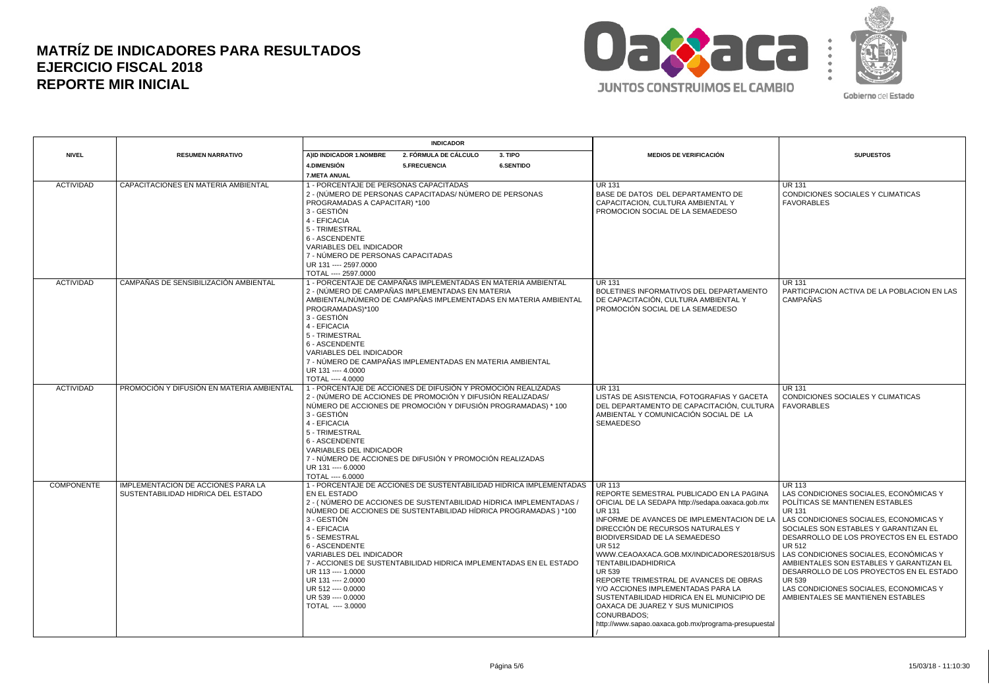

|                   |                                                                                 | <b>INDICADOR</b>                                                                                                                                                                                                                                                                                                                                                                                                                                                                                                    |                                                                                                                                                                                                                                                                                                                                                                                                                                                                                                                                                                                                          |                                                                                                                                                                                                                                                                                                                                                                                                                                                                                 |
|-------------------|---------------------------------------------------------------------------------|---------------------------------------------------------------------------------------------------------------------------------------------------------------------------------------------------------------------------------------------------------------------------------------------------------------------------------------------------------------------------------------------------------------------------------------------------------------------------------------------------------------------|----------------------------------------------------------------------------------------------------------------------------------------------------------------------------------------------------------------------------------------------------------------------------------------------------------------------------------------------------------------------------------------------------------------------------------------------------------------------------------------------------------------------------------------------------------------------------------------------------------|---------------------------------------------------------------------------------------------------------------------------------------------------------------------------------------------------------------------------------------------------------------------------------------------------------------------------------------------------------------------------------------------------------------------------------------------------------------------------------|
| <b>NIVEL</b>      | <b>RESUMEN NARRATIVO</b>                                                        | 2. FÓRMULA DE CÁLCULO<br>3. TIPO<br>AIID INDICADOR 1.NOMBRE                                                                                                                                                                                                                                                                                                                                                                                                                                                         | <b>MEDIOS DE VERIFICACIÓN</b>                                                                                                                                                                                                                                                                                                                                                                                                                                                                                                                                                                            | <b>SUPUESTOS</b>                                                                                                                                                                                                                                                                                                                                                                                                                                                                |
|                   |                                                                                 | <b>4.DIMENSIÓN</b><br>5.FRECUENCIA<br><b>6.SENTIDO</b>                                                                                                                                                                                                                                                                                                                                                                                                                                                              |                                                                                                                                                                                                                                                                                                                                                                                                                                                                                                                                                                                                          |                                                                                                                                                                                                                                                                                                                                                                                                                                                                                 |
|                   |                                                                                 | <b>7.META ANUAL</b>                                                                                                                                                                                                                                                                                                                                                                                                                                                                                                 |                                                                                                                                                                                                                                                                                                                                                                                                                                                                                                                                                                                                          |                                                                                                                                                                                                                                                                                                                                                                                                                                                                                 |
| <b>ACTIVIDAD</b>  | CAPACITACIONES EN MATERIA AMBIENTAL                                             | 1 - PORCENTAJE DE PERSONAS CAPACITADAS<br>2 - (NÚMERO DE PERSONAS CAPACITADAS/ NÚMERO DE PERSONAS<br>PROGRAMADAS A CAPACITAR) *100<br>3 - GESTIÓN<br>4 - EFICACIA<br>5 - TRIMESTRAL<br>6 - ASCENDENTE<br>VARIABLES DEL INDICADOR<br>7 - NÚMERO DE PERSONAS CAPACITADAS                                                                                                                                                                                                                                              | <b>UR 131</b><br>BASE DE DATOS DEL DEPARTAMENTO DE<br>CAPACITACION, CULTURA AMBIENTAL Y<br>PROMOCION SOCIAL DE LA SEMAEDESO                                                                                                                                                                                                                                                                                                                                                                                                                                                                              | <b>UR 131</b><br>CONDICIONES SOCIALES Y CLIMATICAS<br><b>FAVORABLES</b>                                                                                                                                                                                                                                                                                                                                                                                                         |
|                   |                                                                                 | UR 131 ---- 2597.0000                                                                                                                                                                                                                                                                                                                                                                                                                                                                                               |                                                                                                                                                                                                                                                                                                                                                                                                                                                                                                                                                                                                          |                                                                                                                                                                                                                                                                                                                                                                                                                                                                                 |
|                   |                                                                                 | TOTAL ---- 2597.0000                                                                                                                                                                                                                                                                                                                                                                                                                                                                                                |                                                                                                                                                                                                                                                                                                                                                                                                                                                                                                                                                                                                          |                                                                                                                                                                                                                                                                                                                                                                                                                                                                                 |
| <b>ACTIVIDAD</b>  | CAMPAÑAS DE SENSIBILIZACIÓN AMBIENTAL                                           | 1 - PORCENTAJE DE CAMPAÑAS IMPLEMENTADAS EN MATERIA AMBIENTAL<br>2 - (NÚMERO DE CAMPAÑAS IMPLEMENTADAS EN MATERIA<br>AMBIENTAL/NÚMERO DE CAMPAÑAS IMPLEMENTADAS EN MATERIA AMBIENTAL<br>PROGRAMADAS)*100<br>3 - GESTIÓN<br>4 - EFICACIA<br>5 - TRIMESTRAL<br>6 - ASCENDENTE<br>VARIABLES DEL INDICADOR<br>7 - NÚMERO DE CAMPAÑAS IMPLEMENTADAS EN MATERIA AMBIENTAL<br>UR 131 ---- 4.0000<br>TOTAL ---- 4.0000                                                                                                      | <b>UR 131</b><br>BOLETINES INFORMATIVOS DEL DEPARTAMENTO<br>DE CAPACITACIÓN, CULTURA AMBIENTAL Y<br>PROMOCIÓN SOCIAL DE LA SEMAEDESO                                                                                                                                                                                                                                                                                                                                                                                                                                                                     | <b>UR 131</b><br>PARTICIPACION ACTIVA DE LA POBLACION EN LAS<br><b>CAMPAÑAS</b>                                                                                                                                                                                                                                                                                                                                                                                                 |
| <b>ACTIVIDAD</b>  | PROMOCIÓN Y DIFUSIÓN EN MATERIA AMBIENTAL                                       | 1 - PORCENTAJE DE ACCIONES DE DIFUSIÓN Y PROMOCIÓN REALIZADAS<br>2 - (NÚMERO DE ACCIONES DE PROMOCIÓN Y DIFUSIÓN REALIZADAS/<br>NÚMERO DE ACCIONES DE PROMOCIÓN Y DIFUSIÓN PROGRAMADAS) * 100<br>3 - GESTIÓN<br>4 - EFICACIA<br>5 - TRIMESTRAL<br>6 - ASCENDENTE<br>VARIABLES DEL INDICADOR<br>7 - NÚMERO DE ACCIONES DE DIFUSIÓN Y PROMOCIÓN REALIZADAS<br>UR 131 ---- 6.0000<br>TOTAL ---- 6.0000                                                                                                                 | <b>UR 131</b><br>LISTAS DE ASISTENCIA. FOTOGRAFIAS Y GACETA<br>DEL DEPARTAMENTO DE CAPACITACIÓN. CULTURA<br>AMBIENTAL Y COMUNICACIÓN SOCIAL DE LA<br><b>SEMAEDESO</b>                                                                                                                                                                                                                                                                                                                                                                                                                                    | <b>UR 131</b><br>CONDICIONES SOCIALES Y CLIMATICAS<br><b>FAVORABLES</b>                                                                                                                                                                                                                                                                                                                                                                                                         |
| <b>COMPONENTE</b> | <b>IMPLEMENTACION DE ACCIONES PARA LA</b><br>SUSTENTABILIDAD HIDRICA DEL ESTADO | 1 - PORCENTAJE DE ACCIONES DE SUSTENTABILIDAD HIDRICA IMPLEMENTADAS<br>EN EL ESTADO<br>2 - (NÚMERO DE ACCIONES DE SUSTENTABILIDAD HÍDRICA IMPLEMENTADAS)<br>NÚMERO DE ACCIONES DE SUSTENTABILIDAD HÍDRICA PROGRAMADAS ) *100<br>3 - GESTIÓN<br>4 - EFICACIA<br>5 - SEMESTRAL<br>6 - ASCENDENTE<br><b>VARIABLES DEL INDICADOR</b><br>7 - ACCIONES DE SUSTENTABILIDAD HIDRICA IMPLEMENTADAS EN EL ESTADO<br>UR 113 ---- 1,0000<br>UR 131 ---- 2.0000<br>UR 512 ---- 0.0000<br>UR 539 ---- 0.0000<br>TOTAL ---- 3.0000 | <b>UR 113</b><br>REPORTE SEMESTRAL PUBLICADO EN LA PAGINA<br>OFICIAL DE LA SEDAPA http://sedapa.oaxaca.gob.mx<br><b>UR 131</b><br>INFORME DE AVANCES DE IMPLEMENTACION DE LA<br>DIRECCIÓN DE RECURSOS NATURALES Y<br><b>BIODIVERSIDAD DE LA SEMAEDESO</b><br>UR 512<br>WWW.CEAOAXACA.GOB.MX/INDICADORES2018/SUS<br><b>TENTABILIDADHIDRICA</b><br>UR 539<br>REPORTE TRIMESTRAL DE AVANCES DE OBRAS<br>Y/O ACCIONES IMPLEMENTADAS PARA LA<br>SUSTENTABILIDAD HIDRICA EN EL MUNICIPIO DE<br>OAXACA DE JUAREZ Y SUS MUNICIPIOS<br><b>CONURBADOS:</b><br>http://www.sapao.oaxaca.gob.mx/programa-presupuestal | <b>UR 113</b><br>LAS CONDICIONES SOCIALES. ECONÓMICAS Y<br>POLÍTICAS SE MANTIENEN ESTABLES<br>UR 131<br>LAS CONDICIONES SOCIALES, ECONOMICAS Y<br>SOCIALES SON ESTABLES Y GARANTIZAN EL<br>DESARROLLO DE LOS PROYECTOS EN EL ESTADO<br><b>UR 512</b><br>LAS CONDICIONES SOCIALES. ECONÓMICAS Y<br>AMBIENTALES SON ESTABLES Y GARANTIZAN EL<br>DESARROLLO DE LOS PROYECTOS EN EL ESTADO<br>UR 539<br>LAS CONDICIONES SOCIALES, ECONOMICAS Y<br>AMBIENTALES SE MANTIENEN ESTABLES |